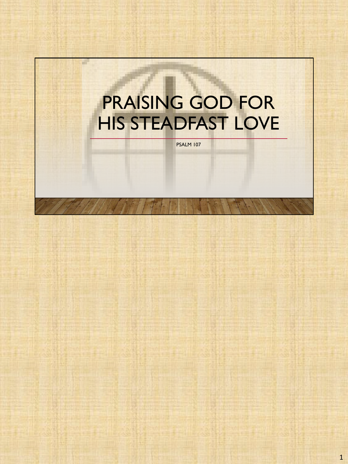# PRAISING GOD FOR HIS STEADFAST LOVE

×

PSALM 107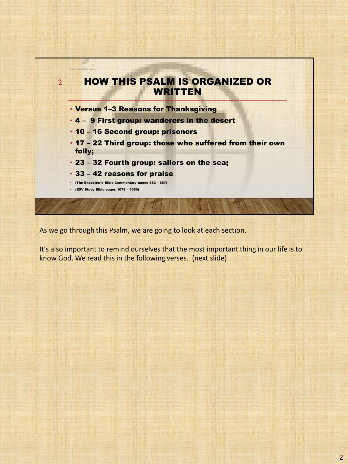

As we go through this Psalm, we are going to look at each section.

It's also important to remind ourselves that the most important thing in our life is to know God. We read this in the following verses. (next slide)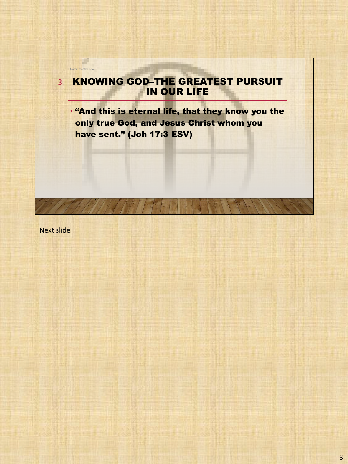

Next slide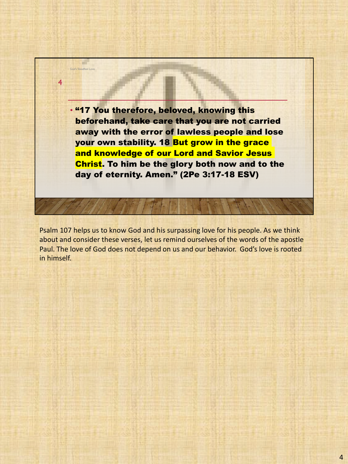• "17 You therefore, beloved, knowing this beforehand, take care that you are not carried away with the error of lawless people and lose your own stability. 18 But grow in the grace and knowledge of our Lord and Savior Jesus Christ. To him be the glory both now and to the day of eternity. Amen." (2Pe 3:17-18 ESV)

God's Steadfast Love

4

Psalm 107 helps us to know God and his surpassing love for his people. As we think about and consider these verses, let us remind ourselves of the words of the apostle Paul. The love of God does not depend on us and our behavior. God's love is rooted in himself.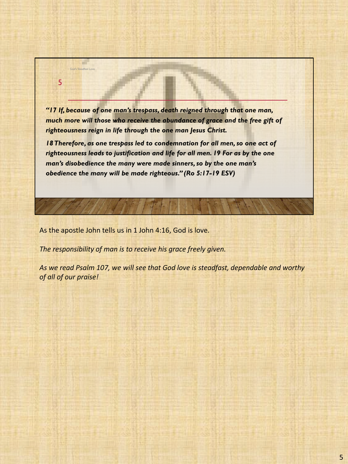*"17 If, because of one man's trespass, death reigned through that one man,*  much more will those who receive the abundance of grace and the free gift of *righteousness reign in life through the one man Jesus Christ.* 

18 Therefore, as one trespass led to condemnation for all men, so one act of *righteousness leads to justification and life for all men. 19 For as by the one man's disobedience the many were made sinners, so by the one man's obedience the many will be made righteous." (Ro 5:17-19 ESV)*

As the apostle John tells us in 1 John 4:16, God is love.

God's Steadfast Love

5

*The responsibility of man is to receive his grace freely given.*

*As we read Psalm 107, we will see that God love is steadfast, dependable and worthy of all of our praise!*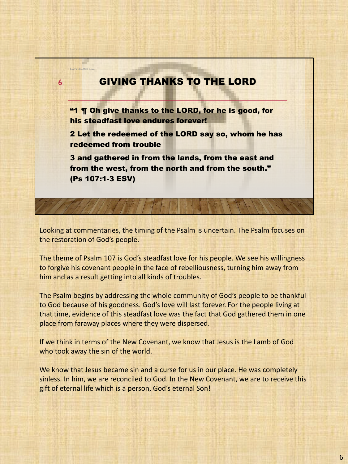## GIVING THANKS TO THE LORD "1 ¶ Oh give thanks to the LORD, for he is good, for his steadfast love endures forever! 2 Let the redeemed of the LORD say so, whom he has redeemed from trouble 3 and gathered in from the lands, from the east and from the west, from the north and from the south." (Ps 107:1-3 ESV) God's Steadfast Love 6

Looking at commentaries, the timing of the Psalm is uncertain. The Psalm focuses on the restoration of God's people.

The theme of Psalm 107 is God's steadfast love for his people. We see his willingness to forgive his covenant people in the face of rebelliousness, turning him away from him and as a result getting into all kinds of troubles.

The Psalm begins by addressing the whole community of God's people to be thankful to God because of his goodness. God's love will last forever. For the people living at that time, evidence of this steadfast love was the fact that God gathered them in one place from faraway places where they were dispersed.

If we think in terms of the New Covenant, we know that Jesus is the Lamb of God who took away the sin of the world.

We know that Jesus became sin and a curse for us in our place. He was completely sinless. In him, we are reconciled to God. In the New Covenant, we are to receive this gift of eternal life which is a person, God's eternal Son!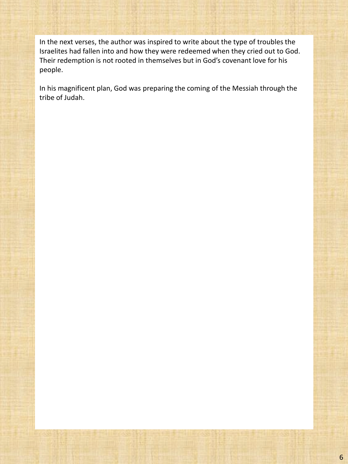In the next verses, the author was inspired to write about the type of troubles the Israelites had fallen into and how they were redeemed when they cried out to God. Their redemption is not rooted in themselves but in God's covenant love for his people.

In his magnificent plan, God was preparing the coming of the Messiah through the tribe of Judah.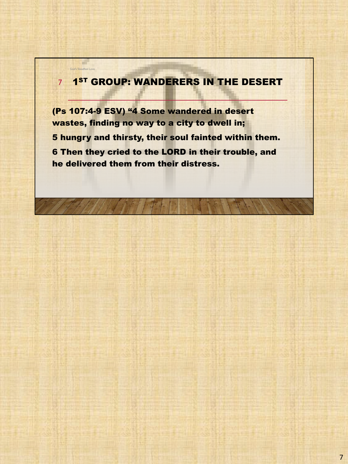### 7 1<sup>st</sup> Group: Wanderers in the desert

God's Steadfast Love

a de

(Ps 107:4-9 ESV) "4 Some wandered in desert wastes, finding no way to a city to dwell in; 5 hungry and thirsty, their soul fainted within them. 6 Then they cried to the LORD in their trouble, and he delivered them from their distress.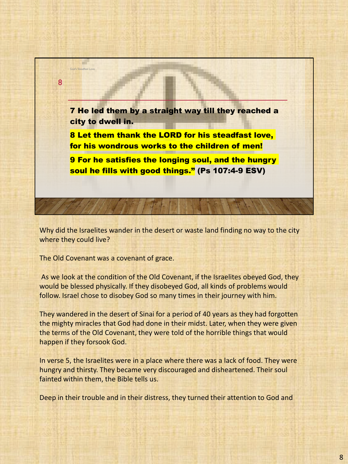

Why did the Israelites wander in the desert or waste land finding no way to the city where they could live?

The Old Covenant was a covenant of grace.

As we look at the condition of the Old Covenant, if the Israelites obeyed God, they would be blessed physically. If they disobeyed God, all kinds of problems would follow. Israel chose to disobey God so many times in their journey with him.

They wandered in the desert of Sinai for a period of 40 years as they had forgotten the mighty miracles that God had done in their midst. Later, when they were given the terms of the Old Covenant, they were told of the horrible things that would happen if they forsook God.

In verse 5, the Israelites were in a place where there was a lack of food. They were hungry and thirsty. They became very discouraged and disheartened. Their soul fainted within them, the Bible tells us.

Deep in their trouble and in their distress, they turned their attention to God and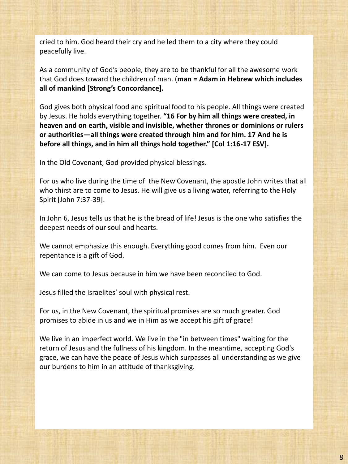cried to him. God heard their cry and he led them to a city where they could peacefully live.

As a community of God's people, they are to be thankful for all the awesome work that God does toward the children of man. (**man = Adam in Hebrew which includes all of mankind [Strong's Concordance].**

God gives both physical food and spiritual food to his people. All things were created by Jesus. He holds everything together. **"16 For by him all things were created, in heaven and on earth, visible and invisible, whether thrones or dominions or rulers or authorities—all things were created through him and for him. 17 And he is before all things, and in him all things hold together." [Col 1:16-17 ESV].**

In the Old Covenant, God provided physical blessings.

For us who live during the time of the New Covenant, the apostle John writes that all who thirst are to come to Jesus. He will give us a living water, referring to the Holy Spirit [John 7:37-39].

In John 6, Jesus tells us that he is the bread of life! Jesus is the one who satisfies the deepest needs of our soul and hearts.

We cannot emphasize this enough. Everything good comes from him. Even our repentance is a gift of God.

We can come to Jesus because in him we have been reconciled to God.

Jesus filled the Israelites' soul with physical rest.

For us, in the New Covenant, the spiritual promises are so much greater. God promises to abide in us and we in Him as we accept his gift of grace!

We live in an imperfect world. We live in the "in between times" waiting for the return of Jesus and the fullness of his kingdom. In the meantime, accepting God's grace, we can have the peace of Jesus which surpasses all understanding as we give our burdens to him in an attitude of thanksgiving.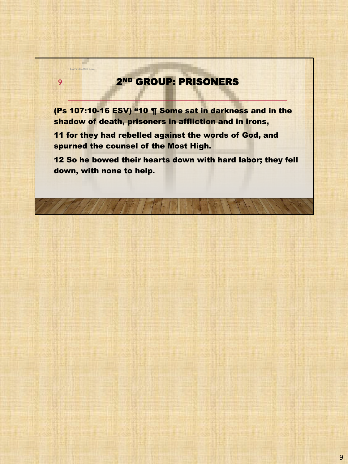## 2ND GROUP: PRISONERS

God's Steadfast Love

÷

9

(Ps 107:10-16 ESV) "10 ¶ Some sat in darkness and in the shadow of death, prisoners in affliction and in irons,

11 for they had rebelled against the words of God, and spurned the counsel of the Most High.

12 So he bowed their hearts down with hard labor; they fell down, with none to help.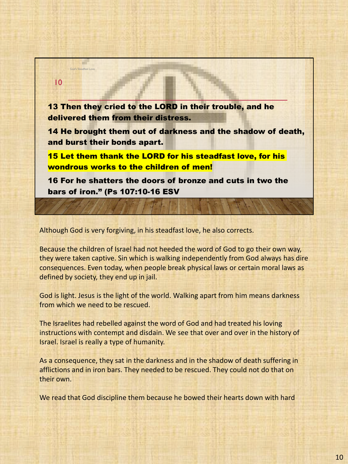

Although God is very forgiving, in his steadfast love, he also corrects.

Because the children of Israel had not heeded the word of God to go their own way, they were taken captive. Sin which is walking independently from God always has dire consequences. Even today, when people break physical laws or certain moral laws as defined by society, they end up in jail.

God is light. Jesus is the light of the world. Walking apart from him means darkness from which we need to be rescued.

The Israelites had rebelled against the word of God and had treated his loving instructions with contempt and disdain. We see that over and over in the history of Israel. Israel is really a type of humanity.

As a consequence, they sat in the darkness and in the shadow of death suffering in afflictions and in iron bars. They needed to be rescued. They could not do that on their own.

We read that God discipline them because he bowed their hearts down with hard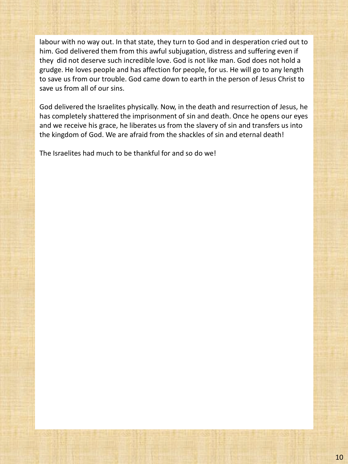labour with no way out. In that state, they turn to God and in desperation cried out to him. God delivered them from this awful subjugation, distress and suffering even if they did not deserve such incredible love. God is not like man. God does not hold a grudge. He loves people and has affection for people, for us. He will go to any length to save us from our trouble. God came down to earth in the person of Jesus Christ to save us from all of our sins.

God delivered the Israelites physically. Now, in the death and resurrection of Jesus, he has completely shattered the imprisonment of sin and death. Once he opens our eyes and we receive his grace, he liberates us from the slavery of sin and transfers us into the kingdom of God. We are afraid from the shackles of sin and eternal death!

The Israelites had much to be thankful for and so do we!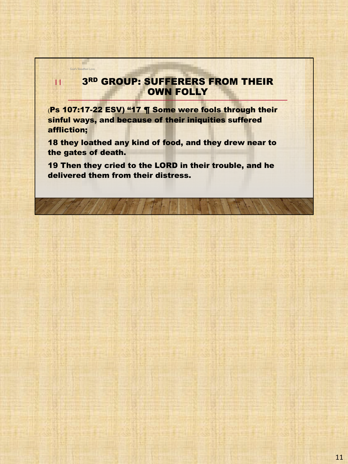#### **3RD GROUP: SUFFERERS FROM THEIR OWN FOLLY**

(Ps 107:17-22 ESV) "17 ¶ Some were fools through their sinful ways, and because of their iniquities suffered affliction;

God's Steadfast Love

a de

11

18 they loathed any kind of food, and they drew near to the gates of death.

19 Then they cried to the LORD in their trouble, and he delivered them from their distress.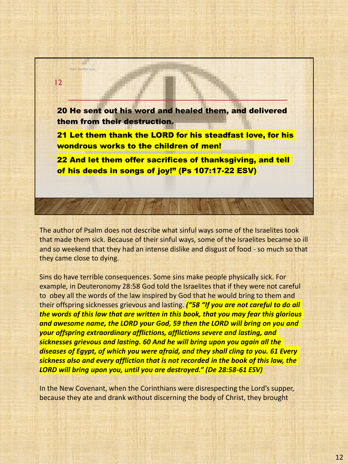20 He sent out his word and healed them, and delivered them from their destruction. 21 Let them thank the LORD for his steadfast love, for his 12

God's Steadfast Love

wondrous works to the children of men!

22 And let them offer sacrifices of thanksgiving, and tell of his deeds in songs of joy!" (Ps 107:17-22 ESV)

The author of Psalm does not describe what sinful ways some of the Israelites took that made them sick. Because of their sinful ways, some of the Israelites became so ill and so weekend that they had an intense dislike and disgust of food - so much so that they came close to dying.

Sins do have terrible consequences. Some sins make people physically sick. For example, in Deuteronomy 28:58 God told the Israelites that if they were not careful to obey all the words of the law inspired by God that he would bring to them and their offspring sicknesses grievous and lasting. *("58 "If you are not careful to do all the words of this law that are written in this book, that you may fear this glorious and awesome name, the LORD your God, 59 then the LORD will bring on you and your offspring extraordinary afflictions, afflictions severe and lasting, and sicknesses grievous and lasting. 60 And he will bring upon you again all the diseases of Egypt, of which you were afraid, and they shall cling to you. 61 Every sickness also and every affliction that is not recorded in the book of this law, the LORD will bring upon you, until you are destroyed." (De 28:58-61 ESV)*

In the New Covenant, when the Corinthians were disrespecting the Lord's supper, because they ate and drank without discerning the body of Christ, they brought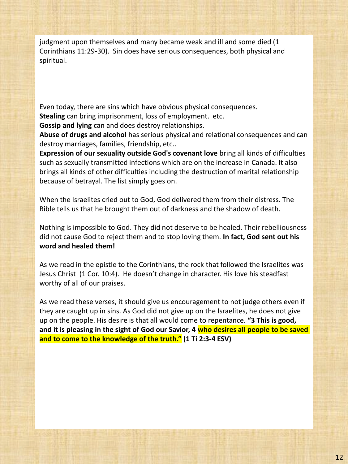judgment upon themselves and many became weak and ill and some died (1 Corinthians 11:29-30). Sin does have serious consequences, both physical and spiritual.

Even today, there are sins which have obvious physical consequences. **Stealing** can bring imprisonment, loss of employment. etc.

**Gossip and lying** can and does destroy relationships.

**Abuse of drugs and alcohol** has serious physical and relational consequences and can destroy marriages, families, friendship, etc..

**Expression of our sexuality outside God's covenant love** bring all kinds of difficulties such as sexually transmitted infections which are on the increase in Canada. It also brings all kinds of other difficulties including the destruction of marital relationship because of betrayal. The list simply goes on.

When the Israelites cried out to God, God delivered them from their distress. The Bible tells us that he brought them out of darkness and the shadow of death.

Nothing is impossible to God. They did not deserve to be healed. Their rebelliousness did not cause God to reject them and to stop loving them. **In fact, God sent out his word and healed them!** 

As we read in the epistle to the Corinthians, the rock that followed the Israelites was Jesus Christ (1 Cor. 10:4). He doesn't change in character. His love his steadfast worthy of all of our praises.

As we read these verses, it should give us encouragement to not judge others even if they are caught up in sins. As God did not give up on the Israelites, he does not give up on the people. His desire is that all would come to repentance. **"3 This is good, and it is pleasing in the sight of God our Savior, 4 who desires all people to be saved and to come to the knowledge of the truth." (1 Ti 2:3-4 ESV)**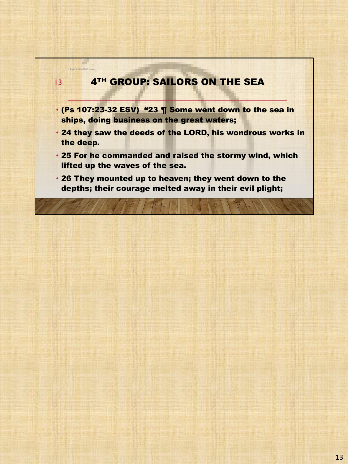

God's Steadfast Love

a de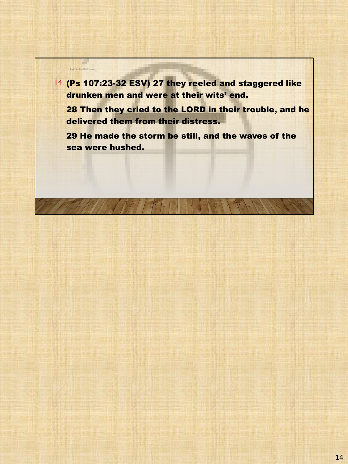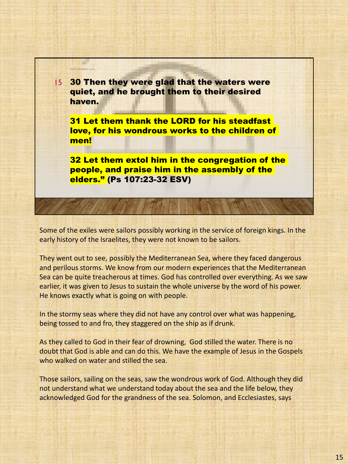

Some of the exiles were sailors possibly working in the service of foreign kings. In the early history of the Israelites, they were not known to be sailors.

They went out to see, possibly the Mediterranean Sea, where they faced dangerous and perilous storms. We know from our modern experiences that the Mediterranean Sea can be quite treacherous at times. God has controlled over everything. As we saw earlier, it was given to Jesus to sustain the whole universe by the word of his power. He knows exactly what is going on with people.

In the stormy seas where they did not have any control over what was happening, being tossed to and fro, they staggered on the ship as if drunk.

As they called to God in their fear of drowning, God stilled the water. There is no doubt that God is able and can do this. We have the example of Jesus in the Gospels who walked on water and stilled the sea.

Those sailors, sailing on the seas, saw the wondrous work of God. Although they did not understand what we understand today about the sea and the life below, they acknowledged God for the grandness of the sea. Solomon, and Ecclesiastes, says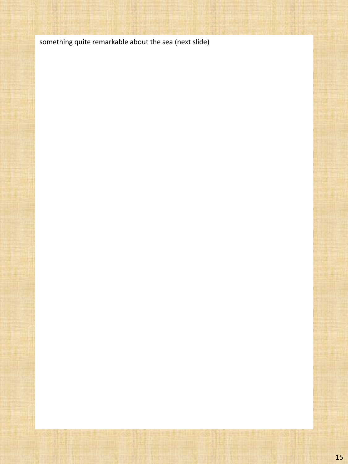something quite remarkable about the sea (next slide)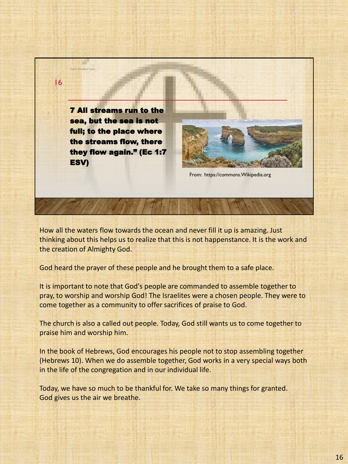

How all the waters flow towards the ocean and never fill it up is amazing. Just thinking about this helps us to realize that this is not happenstance. It is the work and the creation of Almighty God.

God heard the prayer of these people and he brought them to a safe place.

It is important to note that God's people are commanded to assemble together to pray, to worship and worship God! The Israelites were a chosen people. They were to come together as a community to offer sacrifices of praise to God.

The church is also a called out people. Today, God still wants us to come together to praise him and worship him.

In the book of Hebrews, God encourages his people not to stop assembling together (Hebrews 10). When we do assemble together, God works in a very special ways both in the life of the congregation and in our individual life.

Today, we have so much to be thankful for. We take so many things for granted. God gives us the air we breathe.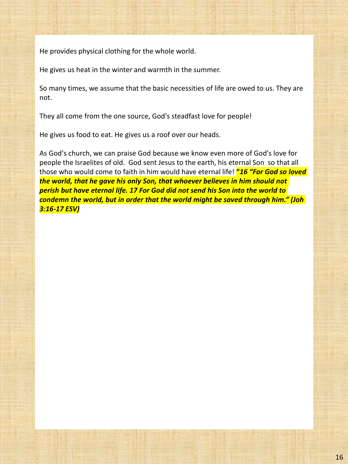He provides physical clothing for the whole world.

He gives us heat in the winter and warmth in the summer.

So many times, we assume that the basic necessities of life are owed to us. They are not.

They all come from the one source, God's steadfast love for people!

He gives us food to eat. He gives us a roof over our heads.

As God's church, we can praise God because we know even more of God's love for people the Israelites of old. God sent Jesus to the earth, his eternal Son so that all those who would come to faith in him would have eternal life! **"***16 "For God so loved the world, that he gave his only Son, that whoever believes in him should not perish but have eternal life. 17 For God did not send his Son into the world to condemn the world, but in order that the world might be saved through him." (Joh 3:16-17 ESV)*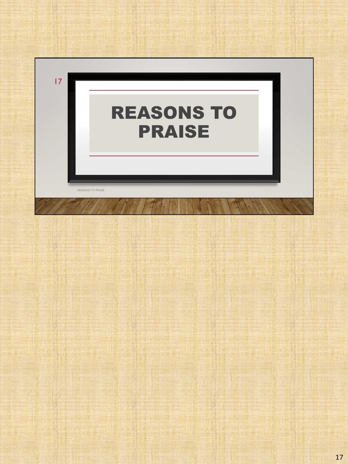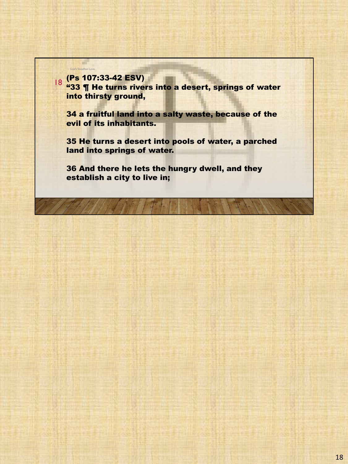God's Steadfast Love

a ka

<sup>18</sup> (Ps 107:33-42 ESV) "33 ¶ He turns rivers into a desert, springs of water into thirsty ground,

34 a fruitful land into a salty waste, because of the evil of its inhabitants.

35 He turns a desert into pools of water, a parched land into springs of water.

36 And there he lets the hungry dwell, and they establish a city to live in;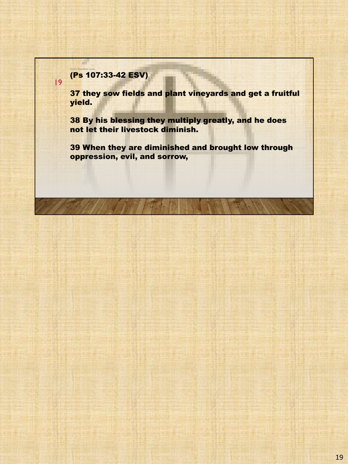#### (Ps 107:33-42 ESV)

God's Steadfast Love

19

37 they sow fields and plant vineyards and get a fruitful yield.

38 By his blessing they multiply greatly, and he does not let their livestock diminish.

39 When they are diminished and brought low through oppression, evil, and sorrow,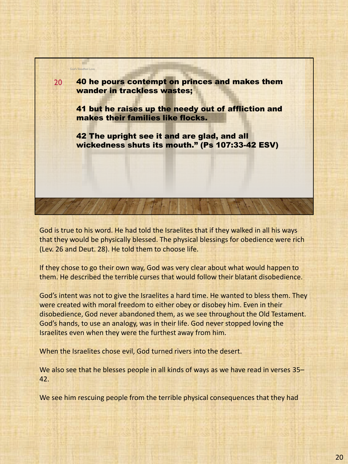

God is true to his word. He had told the Israelites that if they walked in all his ways that they would be physically blessed. The physical blessings for obedience were rich (Lev. 26 and Deut. 28). He told them to choose life.

If they chose to go their own way, God was very clear about what would happen to them. He described the terrible curses that would follow their blatant disobedience.

God's intent was not to give the Israelites a hard time. He wanted to bless them. They were created with moral freedom to either obey or disobey him. Even in their disobedience, God never abandoned them, as we see throughout the Old Testament. God's hands, to use an analogy, was in their life. God never stopped loving the Israelites even when they were the furthest away from him.

When the Israelites chose evil, God turned rivers into the desert.

We also see that he blesses people in all kinds of ways as we have read in verses 35– 42.

We see him rescuing people from the terrible physical consequences that they had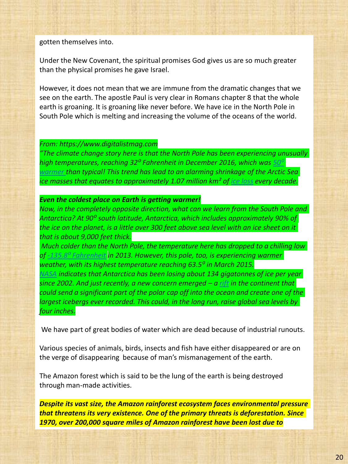gotten themselves into.

Under the New Covenant, the spiritual promises God gives us are so much greater than the physical promises he gave Israel.

However, it does not mean that we are immune from the dramatic changes that we see on the earth. The apostle Paul is very clear in Romans chapter 8 that the whole earth is groaning. It is groaning like never before. We have ice in the North Pole in South Pole which is melting and increasing the volume of the oceans of the world.

#### *From: https://www.digitalistmag.com*

*"The climate change story here is that the North Pole has been experiencing unusually high temperatures, reaching 32⁰ Fahrenheit in December 2016, which was 50⁰ warmer than typical! This trend has lead to an alarming shrinkage of the Arctic Sea ice masses that equates to approximately 1.07 million km² of ice loss every decade.*

#### *Even the coldest place on Earth is getting warmer!*

*Now, in the completely opposite direction, what can we learn from the South Pole and Antarctica? At 90⁰ south latitude, Antarctica, which includes approximately 90% of the ice on the planet, is a little over 300 feet above sea level with an ice sheet on it that is about 9,000 feet thick.*

*Much colder than the North Pole, the temperature here has dropped to a chilling low of -135.8⁰ Fahrenheit in 2013. However, this pole, too, is experiencing warmer weather, with its highest temperature reaching 63.5⁰ in March 2015.*

*NASA indicates that Antarctica has been losing about 134 gigatonnes of ice per year since 2002. And just recently, a new concern emerged – a rift in the continent that could send a significant part of the polar cap off into the ocean and create one of the largest icebergs ever recorded. This could, in the long run, raise global sea levels by four inches.*

We have part of great bodies of water which are dead because of industrial runouts.

Various species of animals, birds, insects and fish have either disappeared or are on the verge of disappearing because of man's mismanagement of the earth.

The Amazon forest which is said to be the lung of the earth is being destroyed through man-made activities.

*Despite its vast size, the Amazon rainforest ecosystem faces environmental pressure that threatens its very existence. One of the primary threats is deforestation. Since 1970, over 200,000 square miles of Amazon rainforest have been lost due to*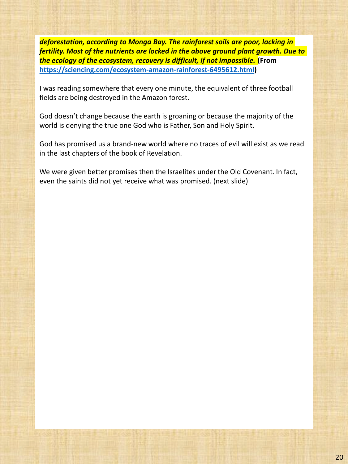*deforestation, according to Monga Bay. The rainforest soils are poor, lacking in fertility. Most of the nutrients are locked in the above ground plant growth. Due to the ecology of the ecosystem, recovery is difficult, if not impossible.* **(From https://sciencing.com/ecosystem-amazon-rainforest-6495612.html)**

I was reading somewhere that every one minute, the equivalent of three football fields are being destroyed in the Amazon forest.

God doesn't change because the earth is groaning or because the majority of the world is denying the true one God who is Father, Son and Holy Spirit.

God has promised us a brand-new world where no traces of evil will exist as we read in the last chapters of the book of Revelation.

We were given better promises then the Israelites under the Old Covenant. In fact, even the saints did not yet receive what was promised. (next slide)